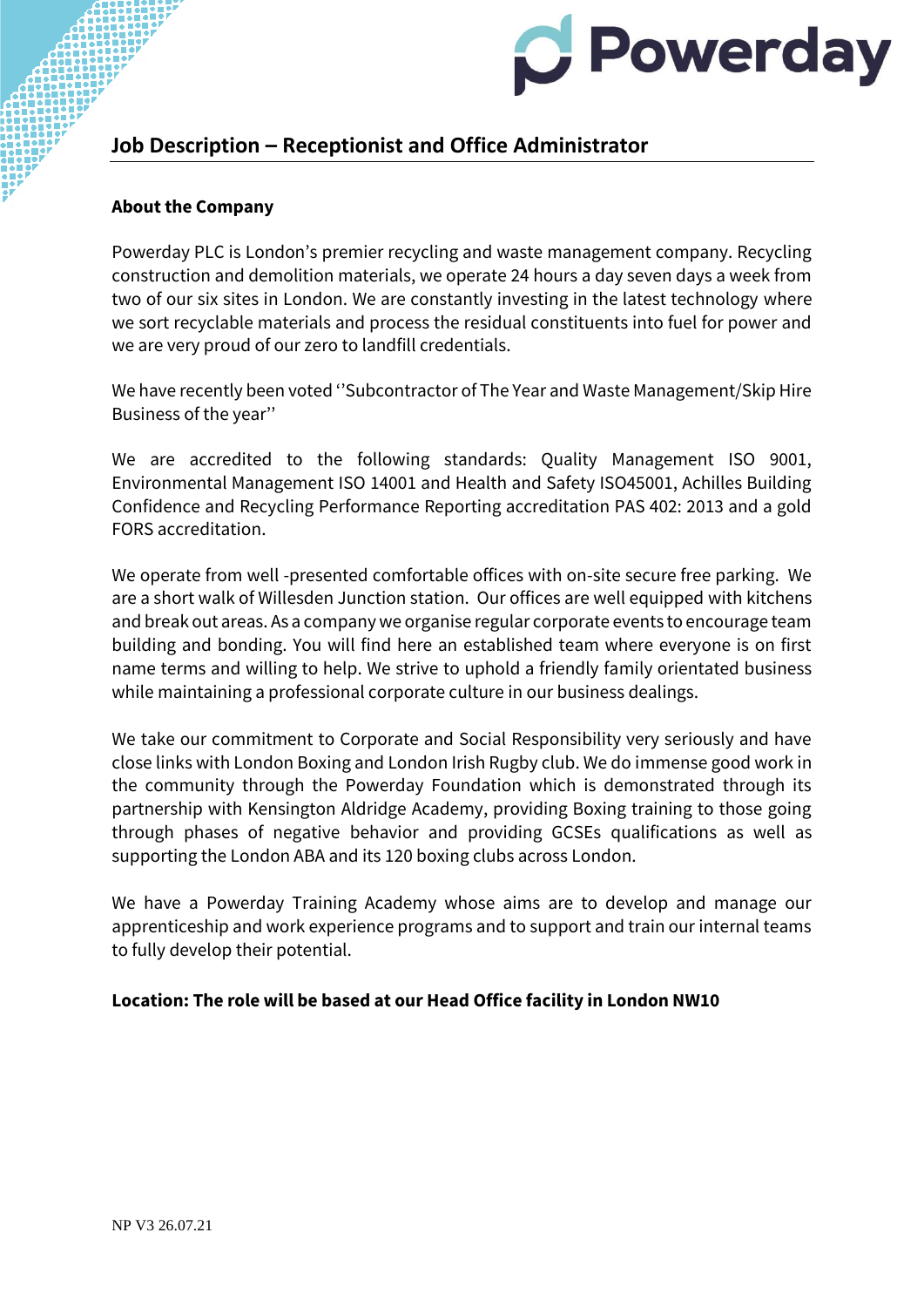

# **Job Description – Receptionist and Office Administrator**

#### **About the Company**

Powerday PLC is London's premier recycling and waste management company. Recycling construction and demolition materials, we operate 24 hours a day seven days a week from two of our six sites in London. We are constantly investing in the latest technology where we sort recyclable materials and process the residual constituents into fuel for power and we are very proud of our zero to landfill credentials.

We have recently been voted ''Subcontractor of The Year and Waste Management/Skip Hire Business of the year''

We are accredited to the following standards: Quality Management ISO 9001, Environmental Management ISO 14001 and Health and Safety ISO45001, Achilles Building Confidence and Recycling Performance Reporting accreditation PAS 402: 2013 and a gold FORS accreditation.

We operate from well -presented comfortable offices with on-site secure free parking. We are a short walk of Willesden Junction station. Our offices are well equipped with kitchens and break out areas. As a company we organise regular corporate events to encourage team building and bonding. You will find here an established team where everyone is on first name terms and willing to help. We strive to uphold a friendly family orientated business while maintaining a professional corporate culture in our business dealings.

We take our commitment to Corporate and Social Responsibility very seriously and have close links with London Boxing and London Irish Rugby club. We do immense good work in the community through the Powerday Foundation which is demonstrated through its partnership with Kensington Aldridge Academy, providing Boxing training to those going through phases of negative behavior and providing GCSEs qualifications as well as supporting the London ABA and its 120 boxing clubs across London.

We have a Powerday Training Academy whose aims are to develop and manage our apprenticeship and work experience programs and to support and train our internal teams to fully develop their potential.

#### **Location: The role will be based at our Head Office facility in London NW10**